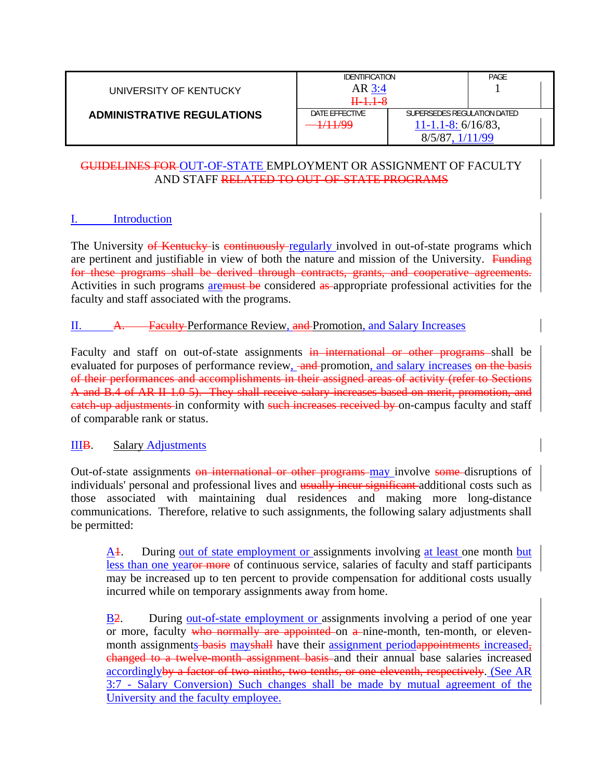| UNIVERSITY OF KENTUCKY            | <b>IDENTIFICATION</b><br>$AR$ 3:4<br><del>II 1.1 - 8</del> |                                                                     | PAGE |  |
|-----------------------------------|------------------------------------------------------------|---------------------------------------------------------------------|------|--|
| <b>ADMINISTRATIVE REGULATIONS</b> | DATE EFFECTIVE<br>1/11/99                                  | SUPERSEDES REGULATION DATED<br>$11 - 1.1 - 8$ : 6/16/83,<br>1/11/99 |      |  |

# GUIDELINES FOR OUT-OF-STATE EMPLOYMENT OR ASSIGNMENT OF FACULTY AND STAFF RELATED TO OUT-OF-STATE PROGRAMS

# I. Introduction

The University of Kentucky is continuously regularly involved in out-of-state programs which are pertinent and justifiable in view of both the nature and mission of the University. Funding for these programs shall be derived through contracts, grants, and cooperative agreements. Activities in such programs **aremust be** considered as appropriate professional activities for the faculty and staff associated with the programs.

### II. A. Faculty Performance Review, and Promotion, and Salary Increases

Faculty and staff on out-of-state assignments in international or other programs shall be evaluated for purposes of performance review, and promotion, and salary increases on the basis of their performances and accomplishments in their assigned areas of activity (refer to Sections A and B.4 of AR II-1.0-5). They shall receive salary increases based on merit, promotion, and eatch-up adjustments in conformity with such increases received by on-campus faculty and staff of comparable rank or status.

### IIIB. Salary Adjustments

Out-of-state assignments on international or other programs may involve some disruptions of individuals' personal and professional lives and usually incur significant additional costs such as those associated with maintaining dual residences and making more long-distance communications. Therefore, relative to such assignments, the following salary adjustments shall be permitted:

A<sub>1</sub>. During out of state employment or assignments involving at least one month but less than one yearor more of continuous service, salaries of faculty and staff participants may be increased up to ten percent to provide compensation for additional costs usually incurred while on temporary assignments away from home.

B<sub>2</sub>. During out-of-state employment or assignments involving a period of one year or more, faculty who normally are appointed on a nine-month, ten-month, or elevenmonth assignments basis may shall have their assignment periodappointments increased, changed to a twelve-month assignment basis and their annual base salaries increased accordinglyby a factor of two-ninths, two-tenths, or one-eleventh, respectively. (See AR 3:7 - Salary Conversion) Such changes shall be made by mutual agreement of the University and the faculty employee.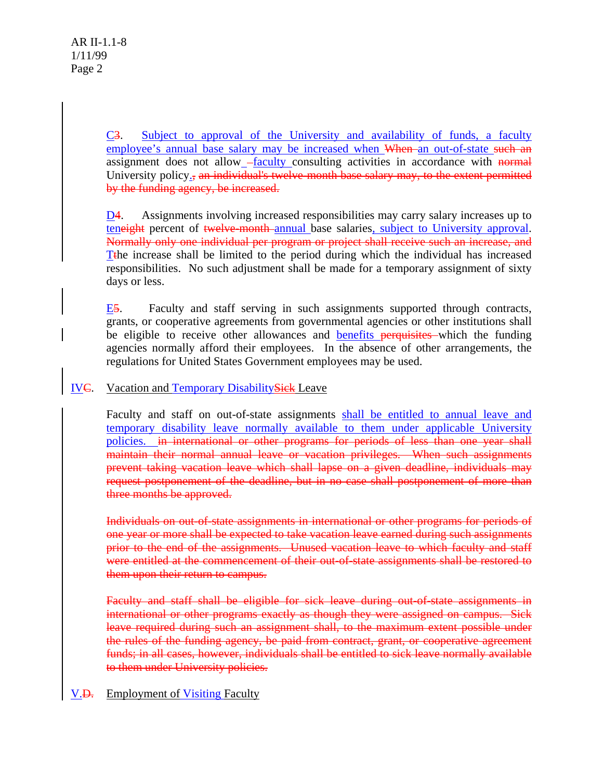C3. Subject to approval of the University and availability of funds, a faculty employee's annual base salary may be increased when When an out-of-state such an assignment does not allow\_-faculty consulting activities in accordance with normal University policy., an individual's twelve-month base salary may, to the extent permitted by the funding agency, be increased.

D4. Assignments involving increased responsibilities may carry salary increases up to teneight percent of twelve-month-annual base salaries, subject to University approval. Normally only one individual per program or project shall receive such an increase, and Tthe increase shall be limited to the period during which the individual has increased responsibilities. No such adjustment shall be made for a temporary assignment of sixty days or less.

E5. Faculty and staff serving in such assignments supported through contracts, grants, or cooperative agreements from governmental agencies or other institutions shall be eligible to receive other allowances and benefits perquisites which the funding agencies normally afford their employees. In the absence of other arrangements, the regulations for United States Government employees may be used.

# IVC. Vacation and Temporary DisabilitySick Leave

Faculty and staff on out-of-state assignments shall be entitled to annual leave and temporary disability leave normally available to them under applicable University policies. in international or other programs for periods of less than one year shall maintain their normal annual leave or vacation privileges. When such assignments prevent taking vacation leave which shall lapse on a given deadline, individuals may request postponement of the deadline, but in no case shall postponement of more than three months be approved.

Individuals on out-of-state assignments in international or other programs for periods of one year or more shall be expected to take vacation leave earned during such assignments prior to the end of the assignments. Unused vacation leave to which faculty and staff were entitled at the commencement of their out-of-state assignments shall be restored to them upon their return to campus.

Faculty and staff shall be eligible for sick leave during out-of-state assignments in international or other programs exactly as though they were assigned on campus. Sick leave required during such an assignment shall, to the maximum extent possible under the rules of the funding agency, be paid from contract, grant, or cooperative agreement funds; in all cases, however, individuals shall be entitled to sick leave normally available to them under University policies.

### V.D. Employment of Visiting Faculty